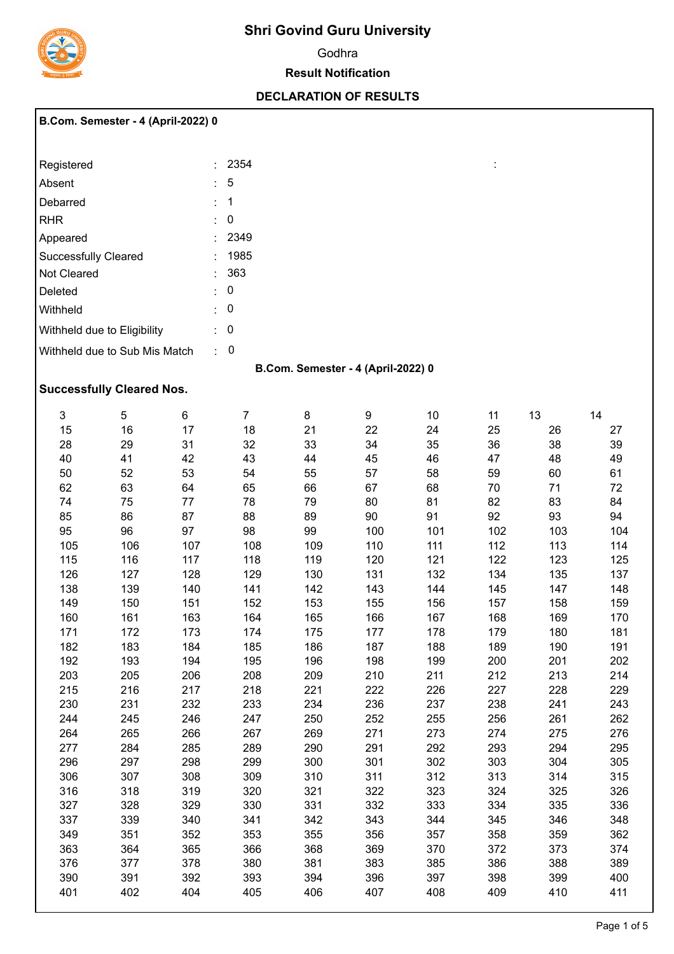

## **Shri Govind Guru University**

Godhra

## **Result Notification**

## **DECLARATION OF RESULTS**

|                             | <b>B.Com. Semester - 4 (April-2022) 0</b> |    |                      |    |                                    |    |    |    |    |
|-----------------------------|-------------------------------------------|----|----------------------|----|------------------------------------|----|----|----|----|
| Registered                  |                                           |    | 2354<br>÷.           |    |                                    |    | ÷  |    |    |
| Absent                      |                                           |    | $\sqrt{5}$           |    |                                    |    |    |    |    |
| Debarred                    |                                           |    | $\mathbf{1}$<br>÷.   |    |                                    |    |    |    |    |
| <b>RHR</b>                  |                                           |    | 0<br>t.              |    |                                    |    |    |    |    |
| Appeared                    |                                           |    | 2349                 |    |                                    |    |    |    |    |
| <b>Successfully Cleared</b> |                                           |    | 1985                 |    |                                    |    |    |    |    |
| Not Cleared                 |                                           |    | 363<br>÷.            |    |                                    |    |    |    |    |
| Deleted                     |                                           |    | $\pmb{0}$<br>t.      |    |                                    |    |    |    |    |
| Withheld                    |                                           |    | $\overline{0}$<br>÷. |    |                                    |    |    |    |    |
|                             | Withheld due to Eligibility               |    | $\overline{0}$<br>÷. |    |                                    |    |    |    |    |
|                             | Withheld due to Sub Mis Match             |    | $\mathbf 0$<br>÷.    |    |                                    |    |    |    |    |
|                             |                                           |    |                      |    | B.Com. Semester - 4 (April-2022) 0 |    |    |    |    |
|                             | <b>Successfully Cleared Nos.</b>          |    |                      |    |                                    |    |    |    |    |
| 3                           | $\overline{5}$                            | 6  | $\overline{7}$       | 8  | 9                                  | 10 | 11 | 13 | 14 |
| 15                          | 16                                        | 17 | 18                   | 21 | 22                                 | 24 | 25 | 26 | 27 |
| 28                          | 29                                        | 31 | 32                   | 33 | 34                                 | 35 | 36 | 38 | 39 |
| 40                          | 41                                        | 42 | 43                   | 44 | 45                                 | 46 | 47 | 48 | 49 |
| 50                          | 52                                        | 53 | 54                   | 55 | 57                                 | 58 | 59 | 60 | 61 |
| 62                          | 63                                        | 64 | 65                   | 66 | 67                                 | 68 | 70 | 71 | 72 |
| 74                          | 75                                        | 77 | 78                   | 79 | 80                                 | 81 | 82 | 83 | 84 |
| 85                          | 86                                        | 87 | 88                   | 89 | 90                                 | 91 | 92 | 93 | 94 |
|                             |                                           |    |                      |    |                                    |    |    |    |    |

| ∠∪  | ∠ສ  | ا ب | ےت  | აა  | ہں  | ပပ  | ပပ  | ပပ  | ບອ  |
|-----|-----|-----|-----|-----|-----|-----|-----|-----|-----|
| 40  | 41  | 42  | 43  | 44  | 45  | 46  | 47  | 48  | 49  |
| 50  | 52  | 53  | 54  | 55  | 57  | 58  | 59  | 60  | 61  |
| 62  | 63  | 64  | 65  | 66  | 67  | 68  | 70  | 71  | 72  |
| 74  | 75  | 77  | 78  | 79  | 80  | 81  | 82  | 83  | 84  |
| 85  | 86  | 87  | 88  | 89  | 90  | 91  | 92  | 93  | 94  |
| 95  | 96  | 97  | 98  | 99  | 100 | 101 | 102 | 103 | 104 |
| 105 | 106 | 107 | 108 | 109 | 110 | 111 | 112 | 113 | 114 |
| 115 | 116 | 117 | 118 | 119 | 120 | 121 | 122 | 123 | 125 |
| 126 | 127 | 128 | 129 | 130 | 131 | 132 | 134 | 135 | 137 |
| 138 | 139 | 140 | 141 | 142 | 143 | 144 | 145 | 147 | 148 |
| 149 | 150 | 151 | 152 | 153 | 155 | 156 | 157 | 158 | 159 |
| 160 | 161 | 163 | 164 | 165 | 166 | 167 | 168 | 169 | 170 |
| 171 | 172 | 173 | 174 | 175 | 177 | 178 | 179 | 180 | 181 |
| 182 | 183 | 184 | 185 | 186 | 187 | 188 | 189 | 190 | 191 |
| 192 | 193 | 194 | 195 | 196 | 198 | 199 | 200 | 201 | 202 |
| 203 | 205 | 206 | 208 | 209 | 210 | 211 | 212 | 213 | 214 |
| 215 | 216 | 217 | 218 | 221 | 222 | 226 | 227 | 228 | 229 |
| 230 | 231 | 232 | 233 | 234 | 236 | 237 | 238 | 241 | 243 |
| 244 | 245 | 246 | 247 | 250 | 252 | 255 | 256 | 261 | 262 |
| 264 | 265 | 266 | 267 | 269 | 271 | 273 | 274 | 275 | 276 |
| 277 | 284 | 285 | 289 | 290 | 291 | 292 | 293 | 294 | 295 |
| 296 | 297 | 298 | 299 | 300 | 301 | 302 | 303 | 304 | 305 |
| 306 | 307 | 308 | 309 | 310 | 311 | 312 | 313 | 314 | 315 |
| 316 | 318 | 319 | 320 | 321 | 322 | 323 | 324 | 325 | 326 |
| 327 | 328 | 329 | 330 | 331 | 332 | 333 | 334 | 335 | 336 |
| 337 | 339 | 340 | 341 | 342 | 343 | 344 | 345 | 346 | 348 |
| 349 | 351 | 352 | 353 | 355 | 356 | 357 | 358 | 359 | 362 |
| 363 | 364 | 365 | 366 | 368 | 369 | 370 | 372 | 373 | 374 |
| 376 | 377 | 378 | 380 | 381 | 383 | 385 | 386 | 388 | 389 |
| 390 | 391 | 392 | 393 | 394 | 396 | 397 | 398 | 399 | 400 |
| 401 | 402 | 404 | 405 | 406 | 407 | 408 | 409 | 410 | 411 |
|     |     |     |     |     |     |     |     |     |     |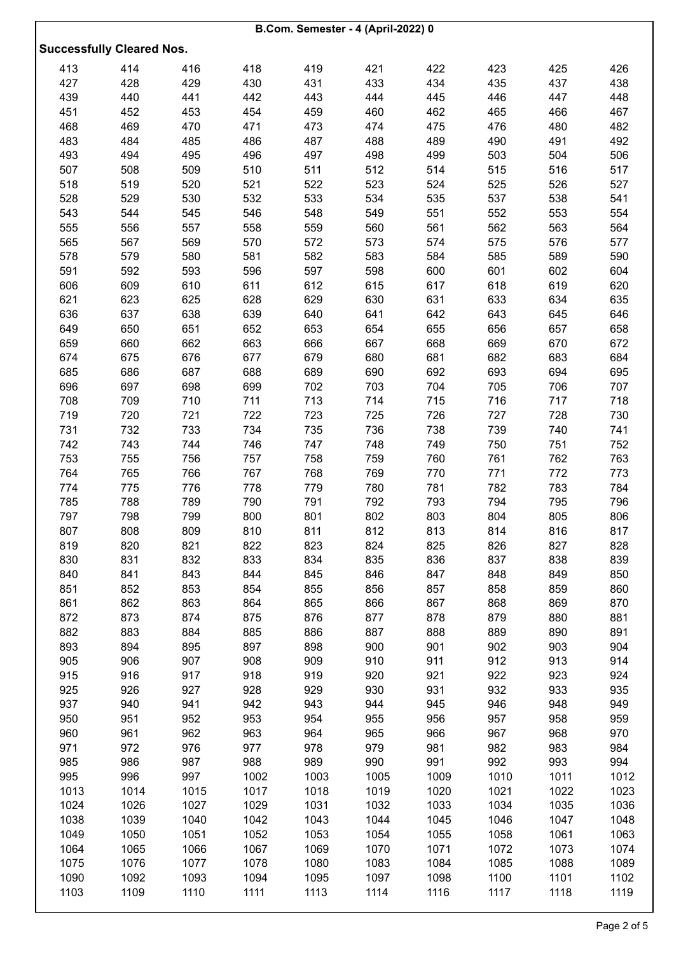|                                  |            |            |            | B.Com. Semester - 4 (April-2022) 0 |            |            |            |            |            |
|----------------------------------|------------|------------|------------|------------------------------------|------------|------------|------------|------------|------------|
| <b>Successfully Cleared Nos.</b> |            |            |            |                                    |            |            |            |            |            |
|                                  |            |            |            |                                    |            |            |            |            |            |
| 413                              | 414        | 416        | 418        | 419                                | 421        | 422        | 423        | 425        | 426        |
| 427                              | 428        | 429        | 430        | 431                                | 433        | 434        | 435        | 437        | 438        |
| 439                              | 440        | 441        | 442        | 443                                | 444        | 445        | 446        | 447        | 448        |
| 451                              | 452        | 453        | 454        | 459                                | 460        | 462        | 465        | 466        | 467        |
| 468                              | 469        | 470        | 471        | 473                                | 474        | 475        | 476        | 480        | 482        |
| 483                              | 484        | 485        | 486        | 487                                | 488        | 489        | 490        | 491        | 492        |
| 493                              | 494        | 495        | 496        | 497                                | 498        | 499        | 503        | 504        | 506        |
| 507                              | 508        | 509        | 510        | 511                                | 512        | 514        | 515        | 516        | 517        |
| 518                              | 519        | 520        | 521        | 522                                | 523        | 524        | 525        | 526        | 527        |
| 528                              | 529        | 530        | 532        | 533                                | 534        | 535        | 537        | 538        | 541        |
| 543                              | 544        | 545        | 546        | 548                                | 549        | 551        | 552        | 553        | 554        |
| 555                              | 556        | 557        | 558        | 559                                | 560        | 561        | 562        | 563        | 564        |
| 565                              | 567        | 569        | 570        | 572                                | 573        | 574        | 575        | 576        | 577        |
| 578                              | 579        | 580        | 581        | 582                                | 583        | 584        | 585        | 589        | 590        |
| 591                              | 592        | 593        | 596        | 597                                | 598        | 600        | 601        | 602        | 604        |
| 606                              | 609        | 610        | 611        | 612                                | 615        | 617        | 618        | 619        | 620        |
| 621                              | 623        | 625        | 628        | 629                                | 630        | 631        | 633        | 634        | 635        |
| 636                              | 637        | 638        | 639        | 640                                | 641        | 642        | 643        | 645        | 646        |
| 649                              | 650        | 651        | 652        | 653                                | 654        | 655        | 656        | 657        | 658        |
| 659                              | 660        | 662        | 663        | 666                                | 667        | 668        | 669        | 670        | 672        |
| 674                              | 675        | 676        | 677        | 679                                | 680        | 681        | 682        | 683        | 684        |
| 685                              | 686        | 687        | 688        | 689                                | 690        | 692        | 693        | 694        | 695        |
| 696                              | 697        | 698        | 699        | 702                                | 703        | 704        | 705        | 706        | 707        |
| 708                              | 709        | 710        | 711        | 713                                | 714        | 715        | 716        | 717        | 718        |
| 719                              | 720        | 721        | 722        | 723                                | 725        | 726        | 727        | 728        | 730        |
| 731                              | 732        | 733        | 734        | 735                                | 736        | 738        | 739        | 740        | 741        |
| 742                              | 743        | 744        | 746        | 747                                | 748        | 749        | 750        | 751        | 752        |
| 753                              | 755        | 756        | 757        | 758                                | 759        | 760        | 761        | 762        | 763        |
| 764                              | 765        | 766        | 767        | 768                                | 769        | 770        | 771        | 772        | 773        |
| 774                              | 775        | 776        | 778        | 779                                | 780        | 781        | 782        | 783        | 784        |
| 785                              | 788        | 789        | 790        | 791                                | 792        | 793        | 794        | 795        | 796        |
| 797                              | 798        | 799        | 800        | 801                                | 802        | 803        | 804        | 805        | 806        |
| 807                              | 808        | 809        | 810        | 811                                | 812        | 813        | 814        | 816        | 817        |
| 819<br>830                       | 820<br>831 | 821<br>832 | 822<br>833 | 823<br>834                         | 824<br>835 | 825<br>836 | 826<br>837 | 827<br>838 | 828<br>839 |
| 840                              | 841        | 843        | 844        | 845                                | 846        | 847        | 848        | 849        | 850        |
| 851                              | 852        | 853        | 854        | 855                                | 856        | 857        | 858        | 859        | 860        |
| 861                              | 862        | 863        | 864        | 865                                | 866        | 867        | 868        | 869        | 870        |
| 872                              | 873        | 874        | 875        | 876                                | 877        | 878        | 879        | 880        | 881        |
| 882                              | 883        | 884        | 885        | 886                                | 887        | 888        | 889        | 890        | 891        |
| 893                              | 894        | 895        | 897        | 898                                | 900        | 901        | 902        | 903        | 904        |
| 905                              | 906        | 907        | 908        | 909                                | 910        | 911        | 912        | 913        | 914        |
| 915                              | 916        | 917        | 918        | 919                                | 920        | 921        | 922        | 923        | 924        |
| 925                              | 926        | 927        | 928        | 929                                | 930        | 931        | 932        | 933        | 935        |
| 937                              | 940        | 941        | 942        | 943                                | 944        | 945        | 946        | 948        | 949        |
| 950                              | 951        | 952        | 953        | 954                                | 955        | 956        | 957        | 958        | 959        |
| 960                              | 961        | 962        | 963        | 964                                | 965        | 966        | 967        | 968        | 970        |
| 971                              | 972        | 976        | 977        | 978                                | 979        | 981        | 982        | 983        | 984        |
| 985                              | 986        | 987        | 988        | 989                                | 990        | 991        | 992        | 993        | 994        |
| 995                              | 996        | 997        | 1002       | 1003                               | 1005       | 1009       | 1010       | 1011       | 1012       |
| 1013                             | 1014       | 1015       | 1017       | 1018                               | 1019       | 1020       | 1021       | 1022       | 1023       |
| 1024                             | 1026       | 1027       | 1029       | 1031                               | 1032       | 1033       | 1034       | 1035       | 1036       |
| 1038                             | 1039       | 1040       | 1042       | 1043                               | 1044       | 1045       | 1046       | 1047       | 1048       |
| 1049                             | 1050       | 1051       | 1052       | 1053                               | 1054       | 1055       | 1058       | 1061       | 1063       |
| 1064                             | 1065       | 1066       | 1067       | 1069                               | 1070       | 1071       | 1072       | 1073       | 1074       |
| 1075                             | 1076       | 1077       | 1078       | 1080                               | 1083       | 1084       | 1085       | 1088       | 1089       |
| 1090                             | 1092       | 1093       | 1094       | 1095                               | 1097       | 1098       | 1100       | 1101       | 1102       |
| 1103                             | 1109       | 1110       | 1111       | 1113                               | 1114       | 1116       | 1117       | 1118       | 1119       |
|                                  |            |            |            |                                    |            |            |            |            |            |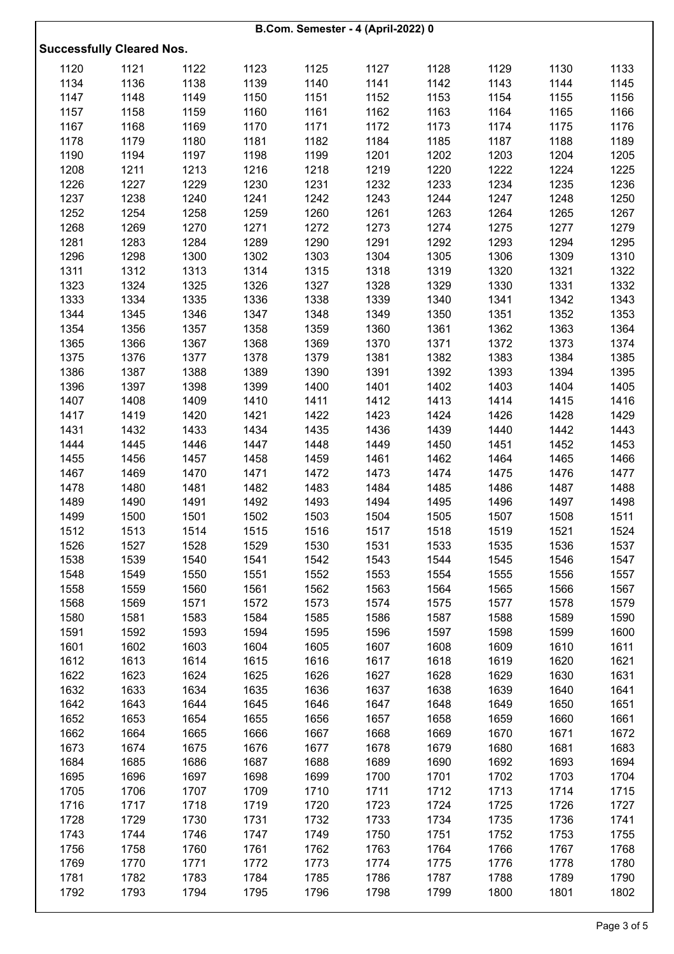| B.Com. Semester - 4 (April-2022) 0 |      |      |      |      |      |      |      |      |      |  |  |
|------------------------------------|------|------|------|------|------|------|------|------|------|--|--|
| <b>Successfully Cleared Nos.</b>   |      |      |      |      |      |      |      |      |      |  |  |
| 1120                               | 1121 | 1122 | 1123 | 1125 | 1127 | 1128 | 1129 | 1130 | 1133 |  |  |
| 1134                               | 1136 | 1138 | 1139 | 1140 | 1141 | 1142 | 1143 | 1144 | 1145 |  |  |
| 1147                               | 1148 | 1149 | 1150 | 1151 | 1152 | 1153 | 1154 | 1155 | 1156 |  |  |
| 1157                               | 1158 | 1159 | 1160 | 1161 | 1162 | 1163 | 1164 | 1165 | 1166 |  |  |
| 1167                               | 1168 | 1169 | 1170 | 1171 | 1172 | 1173 | 1174 | 1175 | 1176 |  |  |
| 1178                               | 1179 | 1180 | 1181 | 1182 | 1184 | 1185 | 1187 | 1188 | 1189 |  |  |
| 1190                               | 1194 | 1197 | 1198 | 1199 | 1201 | 1202 | 1203 | 1204 | 1205 |  |  |
| 1208                               | 1211 | 1213 | 1216 | 1218 | 1219 | 1220 | 1222 | 1224 | 1225 |  |  |
| 1226                               | 1227 | 1229 | 1230 | 1231 | 1232 | 1233 | 1234 | 1235 | 1236 |  |  |
| 1237                               | 1238 | 1240 | 1241 | 1242 | 1243 | 1244 | 1247 | 1248 | 1250 |  |  |
| 1252                               | 1254 | 1258 | 1259 | 1260 | 1261 | 1263 | 1264 | 1265 | 1267 |  |  |
| 1268                               | 1269 | 1270 | 1271 | 1272 | 1273 | 1274 | 1275 | 1277 | 1279 |  |  |
| 1281                               | 1283 | 1284 | 1289 | 1290 | 1291 | 1292 | 1293 | 1294 | 1295 |  |  |
| 1296                               | 1298 | 1300 | 1302 | 1303 | 1304 | 1305 | 1306 | 1309 | 1310 |  |  |
| 1311                               | 1312 | 1313 | 1314 | 1315 | 1318 | 1319 | 1320 | 1321 | 1322 |  |  |
| 1323                               | 1324 | 1325 | 1326 | 1327 | 1328 | 1329 | 1330 | 1331 | 1332 |  |  |
| 1333                               | 1334 | 1335 | 1336 | 1338 | 1339 | 1340 | 1341 | 1342 | 1343 |  |  |
| 1344                               | 1345 | 1346 | 1347 | 1348 | 1349 | 1350 | 1351 | 1352 | 1353 |  |  |
| 1354                               | 1356 | 1357 | 1358 | 1359 | 1360 | 1361 | 1362 | 1363 | 1364 |  |  |
| 1365                               | 1366 | 1367 | 1368 | 1369 | 1370 | 1371 | 1372 | 1373 | 1374 |  |  |
| 1375                               | 1376 | 1377 | 1378 | 1379 | 1381 | 1382 | 1383 | 1384 | 1385 |  |  |
| 1386                               | 1387 | 1388 | 1389 | 1390 | 1391 | 1392 | 1393 | 1394 | 1395 |  |  |
| 1396                               | 1397 | 1398 | 1399 | 1400 | 1401 | 1402 | 1403 | 1404 | 1405 |  |  |
| 1407                               | 1408 | 1409 | 1410 | 1411 | 1412 | 1413 | 1414 | 1415 | 1416 |  |  |
| 1417                               | 1419 | 1420 | 1421 | 1422 | 1423 | 1424 | 1426 | 1428 | 1429 |  |  |
| 1431                               | 1432 | 1433 | 1434 | 1435 | 1436 | 1439 | 1440 | 1442 | 1443 |  |  |
| 1444                               | 1445 | 1446 | 1447 | 1448 | 1449 | 1450 | 1451 | 1452 | 1453 |  |  |
| 1455                               | 1456 | 1457 | 1458 | 1459 | 1461 | 1462 | 1464 | 1465 | 1466 |  |  |
| 1467                               | 1469 | 1470 | 1471 | 1472 | 1473 | 1474 | 1475 | 1476 | 1477 |  |  |
| 1478                               | 1480 | 1481 | 1482 | 1483 | 1484 | 1485 | 1486 | 1487 | 1488 |  |  |
| 1489                               | 1490 | 1491 | 1492 | 1493 | 1494 | 1495 | 1496 | 1497 | 1498 |  |  |
| 1499                               | 1500 | 1501 | 1502 | 1503 | 1504 | 1505 | 1507 | 1508 | 1511 |  |  |
| 1512                               | 1513 | 1514 | 1515 | 1516 | 1517 | 1518 | 1519 | 1521 | 1524 |  |  |
| 1526                               | 1527 | 1528 | 1529 | 1530 | 1531 | 1533 | 1535 | 1536 | 1537 |  |  |
| 1538                               | 1539 | 1540 | 1541 | 1542 | 1543 | 1544 | 1545 | 1546 | 1547 |  |  |
| 1548                               | 1549 | 1550 | 1551 | 1552 | 1553 | 1554 | 1555 | 1556 | 1557 |  |  |
| 1558                               | 1559 | 1560 | 1561 | 1562 | 1563 | 1564 | 1565 | 1566 | 1567 |  |  |
| 1568                               | 1569 | 1571 | 1572 | 1573 | 1574 | 1575 | 1577 | 1578 | 1579 |  |  |
| 1580                               | 1581 | 1583 | 1584 | 1585 | 1586 | 1587 | 1588 | 1589 | 1590 |  |  |
| 1591                               | 1592 | 1593 | 1594 | 1595 | 1596 | 1597 | 1598 | 1599 | 1600 |  |  |
| 1601                               | 1602 | 1603 | 1604 | 1605 | 1607 | 1608 | 1609 | 1610 | 1611 |  |  |
| 1612                               | 1613 | 1614 | 1615 | 1616 | 1617 | 1618 | 1619 | 1620 | 1621 |  |  |
| 1622                               | 1623 | 1624 | 1625 | 1626 | 1627 | 1628 | 1629 | 1630 | 1631 |  |  |
| 1632                               | 1633 | 1634 | 1635 | 1636 | 1637 | 1638 | 1639 | 1640 | 1641 |  |  |
| 1642                               | 1643 | 1644 | 1645 | 1646 | 1647 | 1648 | 1649 | 1650 | 1651 |  |  |
| 1652                               | 1653 | 1654 | 1655 | 1656 | 1657 | 1658 | 1659 | 1660 | 1661 |  |  |
| 1662                               | 1664 | 1665 | 1666 | 1667 | 1668 | 1669 | 1670 | 1671 | 1672 |  |  |
| 1673                               | 1674 | 1675 | 1676 | 1677 | 1678 | 1679 | 1680 | 1681 | 1683 |  |  |
| 1684                               | 1685 | 1686 | 1687 | 1688 | 1689 | 1690 | 1692 | 1693 | 1694 |  |  |
| 1695                               | 1696 | 1697 | 1698 | 1699 | 1700 | 1701 | 1702 | 1703 | 1704 |  |  |
| 1705                               | 1706 | 1707 | 1709 | 1710 | 1711 | 1712 | 1713 | 1714 | 1715 |  |  |
| 1716                               | 1717 | 1718 | 1719 | 1720 | 1723 | 1724 | 1725 | 1726 | 1727 |  |  |
| 1728                               | 1729 | 1730 | 1731 | 1732 | 1733 | 1734 | 1735 | 1736 | 1741 |  |  |
| 1743                               | 1744 | 1746 | 1747 | 1749 | 1750 | 1751 | 1752 | 1753 | 1755 |  |  |
| 1756                               | 1758 | 1760 | 1761 | 1762 | 1763 | 1764 | 1766 | 1767 | 1768 |  |  |
| 1769                               | 1770 | 1771 | 1772 | 1773 | 1774 | 1775 | 1776 | 1778 | 1780 |  |  |
| 1781                               | 1782 | 1783 | 1784 | 1785 | 1786 | 1787 | 1788 | 1789 | 1790 |  |  |
| 1792                               | 1793 | 1794 | 1795 | 1796 | 1798 | 1799 | 1800 | 1801 | 1802 |  |  |
|                                    |      |      |      |      |      |      |      |      |      |  |  |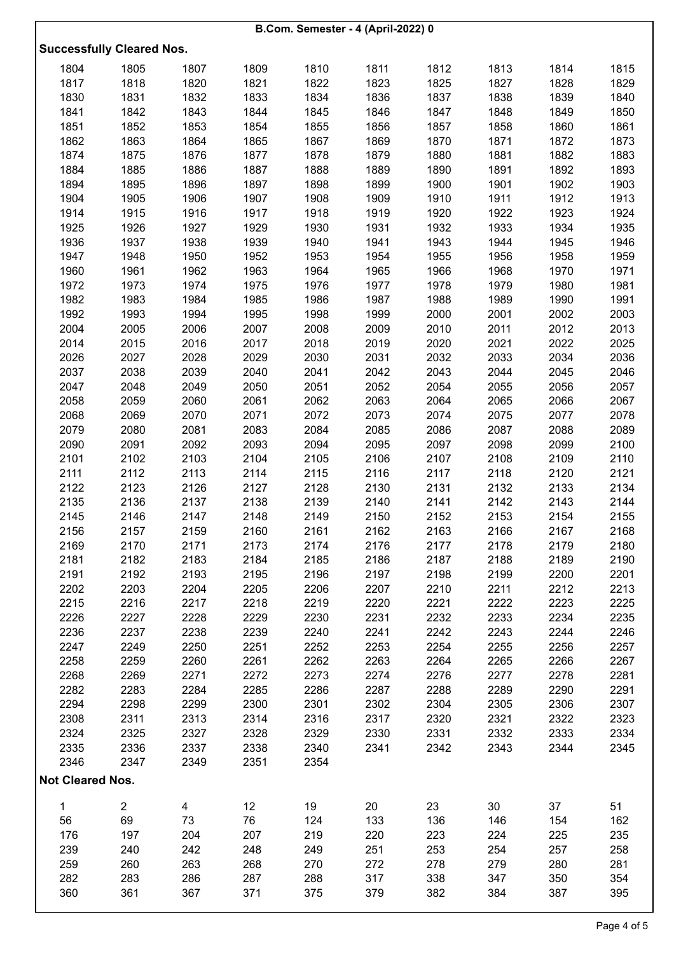|                         | B.Com. Semester - 4 (April-2022) 0 |              |              |              |              |              |              |              |              |  |  |  |
|-------------------------|------------------------------------|--------------|--------------|--------------|--------------|--------------|--------------|--------------|--------------|--|--|--|
|                         | <b>Successfully Cleared Nos.</b>   |              |              |              |              |              |              |              |              |  |  |  |
| 1804                    | 1805                               | 1807         | 1809         | 1810         | 1811         | 1812         | 1813         | 1814         | 1815         |  |  |  |
| 1817                    | 1818                               | 1820         | 1821         | 1822         | 1823         | 1825         | 1827         | 1828         | 1829         |  |  |  |
| 1830                    | 1831                               | 1832         | 1833         | 1834         | 1836         | 1837         | 1838         | 1839         | 1840         |  |  |  |
| 1841                    | 1842                               | 1843         | 1844         | 1845         | 1846         | 1847         | 1848         | 1849         | 1850         |  |  |  |
| 1851                    | 1852                               | 1853         | 1854         | 1855         | 1856         | 1857         | 1858         | 1860         | 1861         |  |  |  |
| 1862                    | 1863                               | 1864         | 1865         | 1867         | 1869         | 1870         | 1871         | 1872         | 1873         |  |  |  |
| 1874                    | 1875                               | 1876         | 1877         | 1878         | 1879         | 1880         | 1881         | 1882         | 1883         |  |  |  |
| 1884                    | 1885                               | 1886         | 1887         | 1888         | 1889         | 1890         | 1891         | 1892         | 1893         |  |  |  |
| 1894                    | 1895                               | 1896         | 1897         | 1898         | 1899         | 1900         | 1901         | 1902         | 1903         |  |  |  |
| 1904                    | 1905                               | 1906         | 1907         | 1908         | 1909         | 1910         | 1911         | 1912         | 1913         |  |  |  |
| 1914                    | 1915                               | 1916         | 1917         | 1918         | 1919         | 1920         | 1922         | 1923         | 1924         |  |  |  |
| 1925                    | 1926                               | 1927         | 1929         | 1930         | 1931         | 1932         | 1933         | 1934         | 1935         |  |  |  |
| 1936                    | 1937                               | 1938         | 1939         | 1940         | 1941         | 1943         | 1944         | 1945         | 1946         |  |  |  |
| 1947                    | 1948                               | 1950         | 1952         | 1953         | 1954         | 1955         | 1956         | 1958         | 1959         |  |  |  |
| 1960                    | 1961                               | 1962         | 1963         | 1964         | 1965         | 1966         | 1968         | 1970         | 1971         |  |  |  |
| 1972                    | 1973                               | 1974         | 1975         | 1976         | 1977         | 1978         | 1979         | 1980         | 1981         |  |  |  |
| 1982                    | 1983                               | 1984         | 1985         | 1986         | 1987         | 1988         | 1989         | 1990         | 1991         |  |  |  |
| 1992                    | 1993                               | 1994         | 1995         | 1998         | 1999         | 2000         | 2001         | 2002         | 2003         |  |  |  |
| 2004                    | 2005                               | 2006         | 2007         | 2008         | 2009         | 2010         | 2011         | 2012         | 2013         |  |  |  |
| 2014                    | 2015                               | 2016         | 2017         | 2018         | 2019         | 2020         | 2021         | 2022         | 2025         |  |  |  |
| 2026                    | 2027                               | 2028         | 2029         | 2030         | 2031         | 2032         | 2033         | 2034         | 2036         |  |  |  |
| 2037                    | 2038                               | 2039         | 2040         | 2041         | 2042         | 2043         | 2044         | 2045         | 2046         |  |  |  |
| 2047                    | 2048                               | 2049         | 2050         | 2051         | 2052         | 2054         | 2055         | 2056         | 2057         |  |  |  |
| 2058                    | 2059                               | 2060         | 2061         | 2062         | 2063         | 2064         | 2065         | 2066         | 2067         |  |  |  |
| 2068                    | 2069                               | 2070         | 2071         | 2072         | 2073         | 2074         | 2075         | 2077         | 2078         |  |  |  |
| 2079                    | 2080                               | 2081         | 2083         | 2084         | 2085         | 2086         | 2087         | 2088         | 2089         |  |  |  |
| 2090                    | 2091                               | 2092         | 2093         | 2094         | 2095         | 2097         | 2098         | 2099         | 2100         |  |  |  |
| 2101                    | 2102                               | 2103         | 2104         | 2105         | 2106         | 2107         | 2108         | 2109         | 2110         |  |  |  |
| 2111                    | 2112                               | 2113         | 2114         | 2115         | 2116         | 2117         | 2118         | 2120         | 2121         |  |  |  |
| 2122                    | 2123                               | 2126         | 2127         | 2128         | 2130         | 2131         | 2132         | 2133         | 2134         |  |  |  |
| 2135                    | 2136                               | 2137         | 2138         | 2139         | 2140         | 2141         | 2142         | 2143         | 2144         |  |  |  |
| 2145                    | 2146                               | 2147         | 2148         | 2149         | 2150         | 2152         | 2153         | 2154         | 2155         |  |  |  |
| 2156                    | 2157                               | 2159         | 2160         | 2161         | 2162         | 2163         | 2166         | 2167         | 2168         |  |  |  |
| 2169                    | 2170                               | 2171         | 2173         | 2174         | 2176         | 2177         | 2178         | 2179         | 2180         |  |  |  |
| 2181                    | 2182                               | 2183         | 2184         | 2185         | 2186         | 2187         | 2188         | 2189         | 2190         |  |  |  |
| 2191                    | 2192                               | 2193         | 2195         | 2196         | 2197         | 2198         | 2199         | 2200         | 2201         |  |  |  |
| 2202                    | 2203                               | 2204<br>2217 | 2205         | 2206         | 2207<br>2220 | 2210<br>2221 | 2211<br>2222 | 2212         | 2213<br>2225 |  |  |  |
| 2215<br>2226            | 2216<br>2227                       | 2228         | 2218<br>2229 | 2219<br>2230 | 2231         | 2232         | 2233         | 2223<br>2234 | 2235         |  |  |  |
| 2236                    | 2237                               | 2238         | 2239         | 2240         | 2241         | 2242         | 2243         | 2244         | 2246         |  |  |  |
| 2247                    | 2249                               | 2250         | 2251         | 2252         | 2253         | 2254         | 2255         | 2256         | 2257         |  |  |  |
| 2258                    | 2259                               | 2260         | 2261         | 2262         | 2263         | 2264         | 2265         | 2266         | 2267         |  |  |  |
| 2268                    | 2269                               | 2271         | 2272         | 2273         | 2274         | 2276         | 2277         | 2278         | 2281         |  |  |  |
| 2282                    | 2283                               | 2284         | 2285         | 2286         | 2287         | 2288         | 2289         | 2290         | 2291         |  |  |  |
| 2294                    | 2298                               | 2299         | 2300         | 2301         | 2302         | 2304         | 2305         | 2306         | 2307         |  |  |  |
| 2308                    | 2311                               | 2313         | 2314         | 2316         | 2317         | 2320         | 2321         | 2322         | 2323         |  |  |  |
| 2324                    | 2325                               | 2327         | 2328         | 2329         | 2330         | 2331         | 2332         | 2333         | 2334         |  |  |  |
| 2335                    | 2336                               | 2337         | 2338         | 2340         | 2341         | 2342         | 2343         | 2344         | 2345         |  |  |  |
| 2346                    | 2347                               | 2349         | 2351         | 2354         |              |              |              |              |              |  |  |  |
| <b>Not Cleared Nos.</b> |                                    |              |              |              |              |              |              |              |              |  |  |  |
|                         |                                    |              |              |              |              |              |              |              |              |  |  |  |
| 1                       | $\overline{2}$                     | 4            | 12           | 19           | 20           | 23           | 30           | 37           | 51           |  |  |  |
| 56                      | 69<br>197                          | 73<br>204    | 76<br>207    | 124          | 133<br>220   | 136          | 146<br>224   | 154          | 162          |  |  |  |
| 176<br>239              | 240                                | 242          | 248          | 219          |              | 223          | 254          | 225          | 235<br>258   |  |  |  |
| 259                     | 260                                | 263          | 268          | 249<br>270   | 251<br>272   | 253<br>278   | 279          | 257<br>280   | 281          |  |  |  |
| 282                     | 283                                | 286          | 287          | 288          | 317          | 338          | 347          | 350          | 354          |  |  |  |
| 360                     | 361                                | 367          | 371          | 375          | 379          | 382          | 384          | 387          | 395          |  |  |  |
|                         |                                    |              |              |              |              |              |              |              |              |  |  |  |